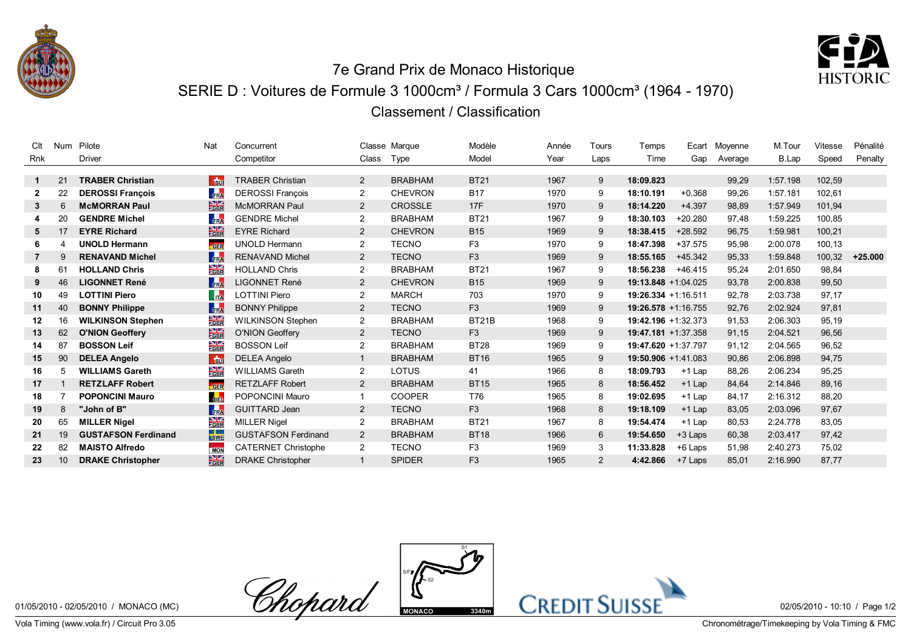



## 7e Grand Prix de Monaco Historique SERIE D : Voitures de Formule 3 1000cm<sup>3</sup> / Formula 3 Cars 1000cm<sup>3</sup> (1964 - 1970) Classement / Classification

| Clt            | Num             | Pilote                     | Nat                             | Concurrent                 |                       | Classe Marque  | Modèle         | Année | Tours | Temps               | Ecart     | Movenne | M.Tour   | Vitesse | Pénalité  |
|----------------|-----------------|----------------------------|---------------------------------|----------------------------|-----------------------|----------------|----------------|-------|-------|---------------------|-----------|---------|----------|---------|-----------|
| Rnk            |                 | <b>Driver</b>              |                                 | Competitor                 | Class                 | Type           | Model          | Year  | Laps  | Time                | Gap       | Average | B.Lap    | Speed   | Penalty   |
|                |                 |                            |                                 |                            |                       |                |                |       |       |                     |           |         |          |         |           |
| 1.             | 21              | <b>TRABER Christian</b>    | <b>Ru</b>                       | <b>TRABER Christian</b>    | $\overline{2}$        | <b>BRABHAM</b> | <b>BT21</b>    | 1967  | 9     | 18:09.823           |           | 99,29   | 1:57.198 | 102,59  |           |
| $\mathbf{2}$   | 22              | <b>DEROSSI Francois</b>    | FRA                             | <b>DEROSSI Francois</b>    | $\overline{2}$        | <b>CHEVRON</b> | <b>B17</b>     | 1970  | 9     | 18:10.191           | $+0.368$  | 99,26   | 1:57.181 | 102,61  |           |
| 3              | 6               | <b>McMORRAN Paul</b>       | $rac{\triangle}{\triangle}$ GBR | <b>McMORRAN Paul</b>       | 2                     | <b>CROSSLE</b> | 17F            | 1970  | 9     | 18:14.220           | $+4.397$  | 98,89   | 1:57.949 | 101,94  |           |
|                | 20              | <b>GENDRE Michel</b>       | FRA                             | <b>GENDRE Michel</b>       | $\overline{2}$        | <b>BRABHAM</b> | <b>BT21</b>    | 1967  | 9     | 18:30.103           | $+20.280$ | 97,48   | 1:59.225 | 100.85  |           |
| 5              | 17              | <b>EYRE Richard</b>        | $\frac{N}{GBR}$                 | <b>EYRE Richard</b>        | 2                     | <b>CHEVRON</b> | <b>B15</b>     | 1969  | 9     | 18:38.415           | $+28.592$ | 96,75   | 1:59.981 | 100,21  |           |
|                |                 | <b>UNOLD Hermann</b>       | GER                             | <b>UNOLD Hermann</b>       | $\overline{2}$        | <b>TECNO</b>   | F <sub>3</sub> | 1970  | 9     | 18:47.398           | $+37.575$ | 95,98   | 2:00.078 | 100.13  |           |
| $\overline{7}$ | 9               | <b>RENAVAND Michel</b>     | FRA                             | <b>RENAVAND Michel</b>     | 2                     | <b>TECNO</b>   | F <sub>3</sub> | 1969  | 9     | 18:55.165           | $+45.342$ | 95,33   | 1:59.848 | 100,32  | $+25.000$ |
| 8              | 61              | <b>HOLLAND Chris</b>       | $\frac{N}{Z}$ GBR               | <b>HOLLAND Chris</b>       | 2                     | <b>BRABHAM</b> | <b>BT21</b>    | 1967  | 9     | 18:56.238           | $+46.415$ | 95,24   | 2:01.650 | 98,84   |           |
| 9              | 46              | <b>LIGONNET René</b>       | FRA                             | <b>LIGONNET René</b>       | $\mathbf{2}^{\prime}$ | <b>CHEVRON</b> | <b>B15</b>     | 1969  | 9     | 19:13.848 +1:04.025 |           | 93,78   | 2:00.838 | 99,50   |           |
| 10             | 49              | <b>LOTTINI Piero</b>       | $\mathsf{T}_{\mathsf{ITA}}$     | LOTTINI Piero              | $\overline{2}$        | <b>MARCH</b>   | 703            | 1970  | 9     | 19:26.334 +1:16.511 |           | 92,78   | 2:03.738 | 97.17   |           |
| 11             | 40              | <b>BONNY Philippe</b>      | FRA                             | <b>BONNY Philippe</b>      | $\overline{2}$        | <b>TECNO</b>   | F <sub>3</sub> | 1969  | 9     | 19:26.578 +1:16.755 |           | 92,76   | 2:02.924 | 97,81   |           |
| 12             | 16              | <b>WILKINSON Stephen</b>   | $\frac{\text{N}}{\text{GBR}}$   | <b>WILKINSON Stephen</b>   | $\overline{2}$        | <b>BRABHAM</b> | BT21B          | 1968  | 9     | 19:42.196 +1:32.373 |           | 91,53   | 2:06.303 | 95,19   |           |
| 13             | 62              | <b>O'NION Geoffery</b>     | $\frac{\text{N}}{\text{CBR}}$   | <b>O'NION Geoffery</b>     | 2                     | <b>TECNO</b>   | F <sub>3</sub> | 1969  | 9     | 19:47.181 +1:37.358 |           | 91,15   | 2:04.521 | 96,56   |           |
| 14             | 87              | <b>BOSSON Leif</b>         | $\frac{\text{N}}{\text{GBR}}$   | <b>BOSSON Leif</b>         | $\overline{2}$        | <b>BRABHAM</b> | <b>BT28</b>    | 1969  | 9     | 19:47.620 +1:37.797 |           | 91,12   | 2:04.565 | 96,52   |           |
| 15             | 90              | <b>DELEA Angelo</b>        | $\frac{1}{30}$                  | <b>DELEA Angelo</b>        |                       | <b>BRABHAM</b> | <b>BT16</b>    | 1965  | 9     | 19:50.906 +1:41.083 |           | 90,86   | 2:06.898 | 94,75   |           |
| 16             | 5               | <b>WILLIAMS Gareth</b>     | $\frac{N}{S}$ GBR               | <b>WILLIAMS Gareth</b>     | 2                     | LOTUS          | 41             | 1966  | 8     | 18:09.793           | $+1$ Lap  | 88,26   | 2:06.234 | 95,25   |           |
| 17             |                 | <b>RETZLAFF Robert</b>     | GER                             | <b>RETZLAFF Robert</b>     | 2                     | <b>BRABHAM</b> | <b>BT15</b>    | 1965  | 8     | 18:56.452           | $+1$ Lap  | 84,64   | 2:14.846 | 89.16   |           |
| 18             |                 | <b>POPONCINI Mauro</b>     | <b>BEL</b>                      | POPONCINI Mauro            |                       | <b>COOPER</b>  | T76            | 1965  | 8     | 19:02.695           | $+1$ Lap  | 84,17   | 2:16.312 | 88,20   |           |
| 19             | 8               | "John of B"                | FRA                             | <b>GUITTARD Jean</b>       | $\overline{2}$        | <b>TECNO</b>   | F <sub>3</sub> | 1968  | 8     | 19:18.109           | $+1$ Lap  | 83,05   | 2:03.096 | 97,67   |           |
| 20             | 65              | <b>MILLER Nigel</b>        | $\frac{N}{2}$ GBR               | <b>MILLER Nigel</b>        | $\overline{2}$        | <b>BRABHAM</b> | <b>BT21</b>    | 1967  | 8     | 19:54.474           | $+1$ Lap  | 80,53   | 2:24.778 | 83,05   |           |
| 21             | 19              | <b>GUSTAFSON Ferdinand</b> | <b>SWE</b>                      | <b>GUSTAFSON Ferdinand</b> | 2                     | <b>BRABHAM</b> | <b>BT18</b>    | 1966  | 6     | 19:54.650           | +3 Laps   | 60,38   | 2:03.417 | 97,42   |           |
| 22             | 82              | <b>MAISTO Alfredo</b>      | <b>MON</b>                      | <b>CATERNET Christophe</b> | $\overline{2}$        | <b>TECNO</b>   | F <sub>3</sub> | 1969  | 3     | 11:33.828           | +6 Laps   | 51,98   | 2:40.273 | 75,02   |           |
| 23             | 10 <sup>°</sup> | <b>DRAKE Christopher</b>   | $\frac{N}{GBR}$                 | <b>DRAKE Christopher</b>   |                       | <b>SPIDER</b>  | F <sub>3</sub> | 1965  | 2     | 4:42.866            | +7 Laps   | 85,01   | 2:16.990 | 87,77   |           |
|                |                 |                            |                                 |                            |                       |                |                |       |       |                     |           |         |          |         |           |